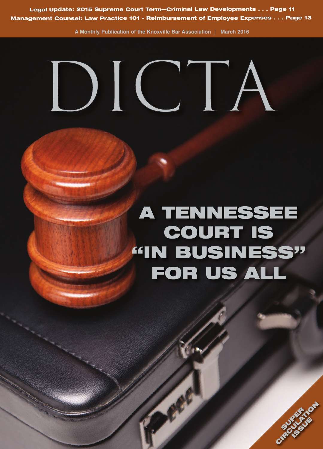**Legal Update: 2015 Supreme Court Term—Criminal Law Developments . . . Page <sup>11</sup> Management Counsel: Law Practice <sup>101</sup> - Reimbursement of Employee Expenses . . . Page <sup>13</sup>**

**A Monthly Publication of the Knoxville Bar Association March 2016**

## DICTE

## **A TENNESSEE COURT IS "IN BUSINESS" FOR US ALL**